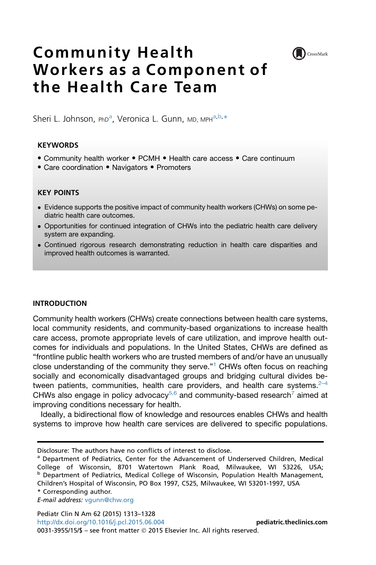

# Community Health Workers as a Component of the Health Care Team

Sheri L. Johnson, PhD<sup>a</sup>, Veronica L. Gunn, MD, MPH<sup>a,b,\*</sup>

#### **KEYWORDS**

- Community health worker PCMH Health care access Care continuum
- Care coordination Navigators Promoters

#### KEY POINTS

- Evidence supports the positive impact of community health workers (CHWs) on some pediatric health care outcomes.
- Opportunities for continued integration of CHWs into the pediatric health care delivery system are expanding.
- Continued rigorous research demonstrating reduction in health care disparities and improved health outcomes is warranted.

#### INTRODUCTION

Community health workers (CHWs) create connections between health care systems, local community residents, and community-based organizations to increase health care access, promote appropriate levels of care utilization, and improve health outcomes for individuals and populations. In the United States, CHWs are defined as "frontline public health workers who are trusted members of and/or have an unusually close understanding of the community they serve."<sup>[1](#page-11-0)</sup> CHWs often focus on reaching socially and economically disadvantaged groups and bridging cultural divides between patients, communities, health care providers, and health care systems. $2-4$ CHWs also engage in policy advocacy<sup>[5,6](#page-11-0)</sup> and community-based research<sup>[7](#page-11-0)</sup> aimed at improving conditions necessary for health.

Ideally, a bidirectional flow of knowledge and resources enables CHWs and health systems to improve how health care services are delivered to specific populations.

E-mail address: [vgunn@chw.org](mailto:vgunn@chw.org)

Pediatr Clin N Am 62 (2015) 1313–1328 <http://dx.doi.org/10.1016/j.pcl.2015.06.004> [pediatric.theclinics.com](http://pediatric.theclinics.com) 0031-3955/15/\$ – see front matter 2015 Elsevier Inc. All rights reserved.

Disclosure: The authors have no conflicts of interest to disclose.

<sup>&</sup>lt;sup>a</sup> Department of Pediatrics, Center for the Advancement of Underserved Children, Medical College of Wisconsin, 8701 Watertown Plank Road, Milwaukee, WI 53226, USA; <sup>b</sup> Department of Pediatrics, Medical College of Wisconsin, Population Health Management, Children's Hospital of Wisconsin, PO Box 1997, C525, Milwaukee, WI 53201-1997, USA \* Corresponding author.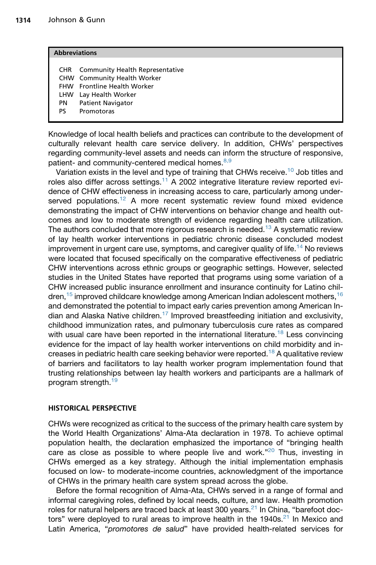#### Abbreviations

CHR Community Health Representative CHW Community Health Worker FHW Frontline Health Worker LHW Lay Health Worker PN Patient Navigator PS Promotoras

Knowledge of local health beliefs and practices can contribute to the development of culturally relevant health care service delivery. In addition, CHWs' perspectives regarding community-level assets and needs can inform the structure of responsive, patient- and community-centered medical homes.<sup>[8,9](#page-11-0)</sup>

Variation exists in the level and type of training that CHWs receive.<sup>[10](#page-11-0)</sup> Job titles and roles also differ across settings.<sup>[11](#page-11-0)</sup> A 2002 integrative literature review reported evidence of CHW effectiveness in increasing access to care, particularly among under-served populations.<sup>[12](#page-11-0)</sup> A more recent systematic review found mixed evidence demonstrating the impact of CHW interventions on behavior change and health outcomes and low to moderate strength of evidence regarding health care utilization. The authors concluded that more rigorous research is needed.<sup>[13](#page-11-0)</sup> A systematic review of lay health worker interventions in pediatric chronic disease concluded modest improvement in urgent care use, symptoms, and caregiver quality of life.[14](#page-11-0) No reviews were located that focused specifically on the comparative effectiveness of pediatric CHW interventions across ethnic groups or geographic settings. However, selected studies in the United States have reported that programs using some variation of a CHW increased public insurance enrollment and insurance continuity for Latino chil-dren,<sup>[15](#page-11-0)</sup> improved childcare knowledge among American Indian adolescent mothers,<sup>[16](#page-11-0)</sup> and demonstrated the potential to impact early caries prevention among American In-dian and Alaska Native children.<sup>[17](#page-11-0)</sup> Improved breastfeeding initiation and exclusivity, childhood immunization rates, and pulmonary tuberculosis cure rates as compared with usual care have been reported in the international literature.<sup>[18](#page-12-0)</sup> Less convincing evidence for the impact of lay health worker interventions on child morbidity and in-creases in pediatric health care seeking behavior were reported.<sup>[18](#page-12-0)</sup> A qualitative review of barriers and facilitators to lay health worker program implementation found that trusting relationships between lay health workers and participants are a hallmark of program strength.[19](#page-12-0)

#### HISTORICAL PERSPECTIVE

CHWs were recognized as critical to the success of the primary health care system by the World Health Organizations' Alma-Ata declaration in 1978. To achieve optimal population health, the declaration emphasized the importance of "bringing health care as close as possible to where people live and work. $"20$  $"20$  Thus, investing in CHWs emerged as a key strategy. Although the initial implementation emphasis focused on low- to moderate-income countries, acknowledgment of the importance of CHWs in the primary health care system spread across the globe.

Before the formal recognition of Alma-Ata, CHWs served in a range of formal and informal caregiving roles, defined by local needs, culture, and law. Health promotion roles for natural helpers are traced back at least 300 years.<sup>[21](#page-12-0)</sup> In China, "barefoot doctors" were deployed to rural areas to improve health in the  $1940s<sup>21</sup>$  In Mexico and Latin America, "*promotores de salud*" have provided health-related services for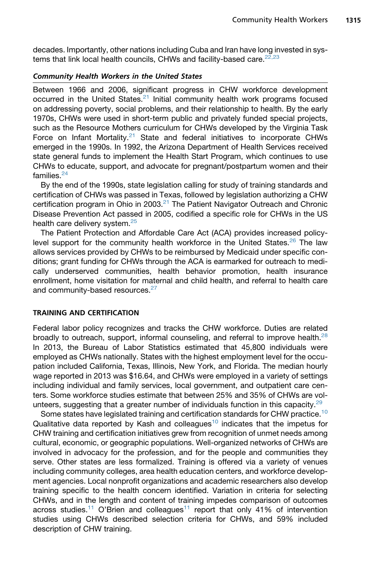decades. Importantly, other nations including Cuba and Iran have long invested in systems that link local health councils, CHWs and facility-based care. $22,23$ 

#### Community Health Workers in the United States

Between 1966 and 2006, significant progress in CHW workforce development occurred in the United States. $21$  Initial community health work programs focused on addressing poverty, social problems, and their relationship to health. By the early 1970s, CHWs were used in short-term public and privately funded special projects, such as the Resource Mothers curriculum for CHWs developed by the Virginia Task Force on Infant Mortality. $21$  State and federal initiatives to incorporate CHWs emerged in the 1990s. In 1992, the Arizona Department of Health Services received state general funds to implement the Health Start Program, which continues to use CHWs to educate, support, and advocate for pregnant/postpartum women and their families.<sup>[24](#page-12-0)</sup>

By the end of the 1990s, state legislation calling for study of training standards and certification of CHWs was passed in Texas, followed by legislation authorizing a CHW certification program in Ohio in 2003. $21$  The Patient Navigator Outreach and Chronic Disease Prevention Act passed in 2005, codified a specific role for CHWs in the US health care delivery system.<sup>[25](#page-12-0)</sup>

The Patient Protection and Affordable Care Act (ACA) provides increased policy-level support for the community health workforce in the United States.<sup>[26](#page-12-0)</sup> The law allows services provided by CHWs to be reimbursed by Medicaid under specific conditions; grant funding for CHWs through the ACA is earmarked for outreach to medically underserved communities, health behavior promotion, health insurance enrollment, home visitation for maternal and child health, and referral to health care and community-based resources.<sup>27</sup>

#### TRAINING AND CERTIFICATION

Federal labor policy recognizes and tracks the CHW workforce. Duties are related broadly to outreach, support, informal counseling, and referral to improve health.<sup>[28](#page-12-0)</sup> In 2013, the Bureau of Labor Statistics estimated that 45,800 individuals were employed as CHWs nationally. States with the highest employment level for the occupation included California, Texas, Illinois, New York, and Florida. The median hourly wage reported in 2013 was \$16.64, and CHWs were employed in a variety of settings including individual and family services, local government, and outpatient care centers. Some workforce studies estimate that between 25% and 35% of CHWs are vol-unteers, suggesting that a greater number of individuals function in this capacity.<sup>[29](#page-12-0)</sup>

Some states have legislated training and certification standards for CHW practice.<sup>[10](#page-11-0)</sup> Qualitative data reported by Kash and colleagues<sup>[10](#page-11-0)</sup> indicates that the impetus for CHW training and certification initiatives grew from recognition of unmet needs among cultural, economic, or geographic populations. Well-organized networks of CHWs are involved in advocacy for the profession, and for the people and communities they serve. Other states are less formalized. Training is offered via a variety of venues including community colleges, area health education centers, and workforce development agencies. Local nonprofit organizations and academic researchers also develop training specific to the health concern identified. Variation in criteria for selecting CHWs, and in the length and content of training impedes comparison of outcomes across studies.<sup>[11](#page-11-0)</sup> O'Brien and colleagues<sup>11</sup> report that only 41% of intervention studies using CHWs described selection criteria for CHWs, and 59% included description of CHW training.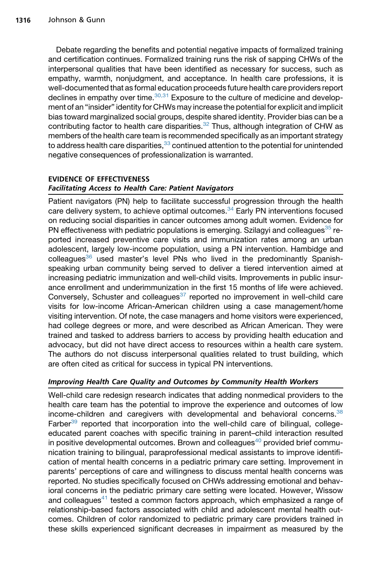Debate regarding the benefits and potential negative impacts of formalized training and certification continues. Formalized training runs the risk of sapping CHWs of the interpersonal qualities that have been identified as necessary for success, such as empathy, warmth, nonjudgment, and acceptance. In health care professions, it is well-documented that as formal education proceeds future health care providers report declines in empathy over time. $30,31$  Exposure to the culture of medicine and development of an "insider" identity for CHWs may increase the potential for explicit and implicit bias toward marginalized social groups, despite shared identity. Provider bias can be a contributing factor to health care disparities.<sup>[32](#page-12-0)</sup> Thus, although integration of CHW as members of the health care team is recommended specifically as an important strategy to address health care disparities,  $33$  continued attention to the potential for unintended negative consequences of professionalization is warranted.

## EVIDENCE OF EFFECTIVENESS Facilitating Access to Health Care: Patient Navigators

Patient navigators (PN) help to facilitate successful progression through the health care delivery system, to achieve optimal outcomes.<sup>34</sup> Early PN interventions focused on reducing social disparities in cancer outcomes among adult women. Evidence for PN effectiveness with pediatric populations is emerging. Szilagyi and colleagues<sup>[35](#page-13-0)</sup> reported increased preventive care visits and immunization rates among an urban adolescent, largely low-income population, using a PN intervention. Hambidge and  $colleagues<sup>36</sup>$  $colleagues<sup>36</sup>$  $colleagues<sup>36</sup>$  used master's level PNs who lived in the predominantly Spanishspeaking urban community being served to deliver a tiered intervention aimed at increasing pediatric immunization and well-child visits. Improvements in public insurance enrollment and underimmunization in the first 15 months of life were achieved. Conversely, Schuster and colleagues $37$  reported no improvement in well-child care visits for low-income African-American children using a case management/home visiting intervention. Of note, the case managers and home visitors were experienced, had college degrees or more, and were described as African American. They were trained and tasked to address barriers to access by providing health education and advocacy, but did not have direct access to resources within a health care system. The authors do not discuss interpersonal qualities related to trust building, which are often cited as critical for success in typical PN interventions.

## Improving Health Care Quality and Outcomes by Community Health Workers

Well-child care redesign research indicates that adding nonmedical providers to the health care team has the potential to improve the experience and outcomes of low income-children and caregivers with developmental and behavioral concerns.<sup>[38](#page-13-0)</sup> Farber<sup>[39](#page-13-0)</sup> reported that incorporation into the well-child care of bilingual, collegeeducated parent coaches with specific training in parent–child interaction resulted in positive developmental outcomes. Brown and colleagues<sup>[40](#page-13-0)</sup> provided brief communication training to bilingual, paraprofessional medical assistants to improve identification of mental health concerns in a pediatric primary care setting. Improvement in parents' perceptions of care and willingness to discuss mental health concerns was reported. No studies specifically focused on CHWs addressing emotional and behavioral concerns in the pediatric primary care setting were located. However, Wissow and colleagues<sup>[41](#page-13-0)</sup> tested a common factors approach, which emphasized a range of relationship-based factors associated with child and adolescent mental health outcomes. Children of color randomized to pediatric primary care providers trained in these skills experienced significant decreases in impairment as measured by the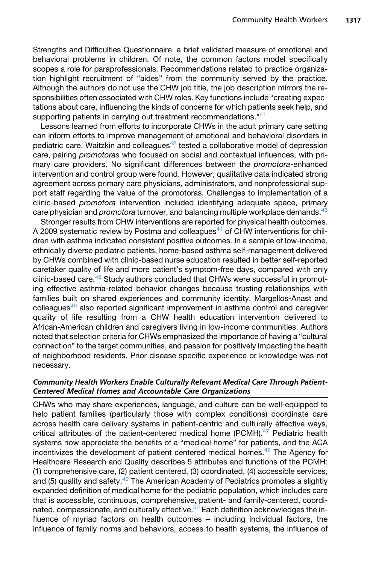Strengths and Difficulties Questionnaire, a brief validated measure of emotional and behavioral problems in children. Of note, the common factors model specifically scopes a role for paraprofessionals. Recommendations related to practice organization highlight recruitment of "aides" from the community served by the practice. Although the authors do not use the CHW job title, the job description mirrors the responsibilities often associated with CHW roles. Key functions include "creating expectations about care, influencing the kinds of concerns for which patients seek help, and supporting patients in carrying out treatment recommendations."[41](#page-13-0)

Lessons learned from efforts to incorporate CHWs in the adult primary care setting can inform efforts to improve management of emotional and behavioral disorders in pediatric care. Waitzkin and colleagues $42$  tested a collaborative model of depression care, pairing *promotoras* who focused on social and contextual influences, with primary care providers. No significant differences between the *promotora*-enhanced intervention and control group were found. However, qualitative data indicated strong agreement across primary care physicians, administrators, and nonprofessional support staff regarding the value of the promotoras. Challenges to implementation of a clinic-based *promotora* intervention included identifying adequate space, primary care physician and *promotora* turnover, and balancing multiple workplace demands.[43](#page-13-0)

Stronger results from CHW interventions are reported for physical health outcomes. A 2009 systematic review by Postma and colleagues $44$  of CHW interventions for children with asthma indicated consistent positive outcomes. In a sample of low-income, ethnically diverse pediatric patients, home-based asthma self-management delivered by CHWs combined with clinic-based nurse education resulted in better self-reported caretaker quality of life and more patient's symptom-free days, compared with only clinic-based care.<sup>[45](#page-13-0)</sup> Study authors concluded that CHWs were successful in promoting effective asthma-related behavior changes because trusting relationships with families built on shared experiences and community identity. Margellos-Anast and  $\text{colleaques}^{46}$  $\text{colleaques}^{46}$  $\text{colleaques}^{46}$  also reported significant improvement in asthma control and caregiver quality of life resulting from a CHW health education intervention delivered to African-American children and caregivers living in low-income communities. Authors noted that selection criteria for CHWs emphasized the importance of having a "cultural connection" to the target communities, and passion for positively impacting the health of neighborhood residents. Prior disease specific experience or knowledge was not necessary.

## Community Health Workers Enable Culturally Relevant Medical Care Through Patient-Centered Medical Homes and Accountable Care Organizations

CHWs who may share experiences, language, and culture can be well-equipped to help patient families (particularly those with complex conditions) coordinate care across health care delivery systems in patient-centric and culturally effective ways, critical attributes of the patient-centered medical home (PCMH). $47$  Pediatric health systems now appreciate the benefits of a "medical home" for patients, and the ACA incentivizes the development of patient centered medical homes.<sup>[48](#page-13-0)</sup> The Agency for Healthcare Research and Quality describes 5 attributes and functions of the PCMH: (1) comprehensive care, (2) patient centered, (3) coordinated, (4) accessible services, and (5) quality and safety.<sup>[49](#page-13-0)</sup> The American Academy of Pediatrics promotes a slightly expanded definition of medical home for the pediatric population, which includes care that is accessible, continuous, comprehensive, patient- and family-centered, coordi-nated, compassionate, and culturally effective.<sup>[50](#page-13-0)</sup> Each definition acknowledges the influence of myriad factors on health outcomes – including individual factors, the influence of family norms and behaviors, access to health systems, the influence of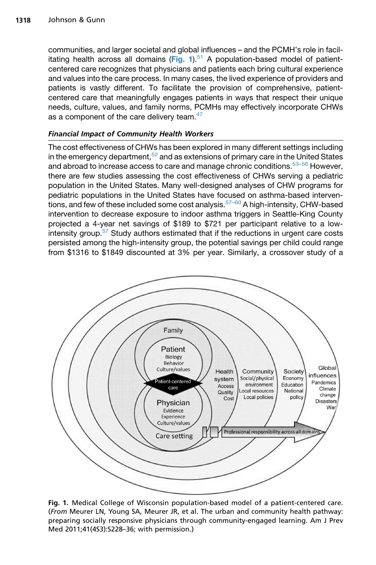communities, and larger societal and global influences – and the PCMH's role in facilitating health across all domains (Fig. 1).<sup>51</sup> A population-based model of patientcentered care recognizes that physicians and patients each bring cultural experience and values into the care process. In many cases, the lived experience of providers and patients is vastly different. To facilitate the provision of comprehensive, patientcentered care that meaningfully engages patients in ways that respect their unique needs, culture, values, and family norms, PCMHs may effectively incorporate CHWs as a component of the care delivery team.<sup>[47](#page-13-0)</sup>

## Financial Impact of Community Health Workers

The cost effectiveness of CHWs has been explored in many different settings including in the emergency department,  $52$  and as extensions of primary care in the United States and abroad to increase access to care and manage chronic conditions.<sup>[53–56](#page-14-0)</sup> However, there are few studies assessing the cost effectiveness of CHWs serving a pediatric population in the United States. Many well-designed analyses of CHW programs for pediatric populations in the United States have focused on asthma-based interventions, and few of these included some cost analysis. $57-60$  A high-intensity, CHW-based intervention to decrease exposure to indoor asthma triggers in Seattle-King County projected a 4-year net savings of \$189 to \$721 per participant relative to a lowintensity group[.57](#page-14-0) Study authors estimated that if the reductions in urgent care costs persisted among the high-intensity group, the potential savings per child could range from \$1316 to \$1849 discounted at 3% per year. Similarly, a crossover study of a



Fig. 1. Medical College of Wisconsin population-based model of a patient-centered care. (From Meurer LN, Young SA, Meurer JR, et al. The urban and community health pathway: preparing socially responsive physicians through community-engaged learning. Am J Prev Med 2011;41(4S3):S228–36; with permission.)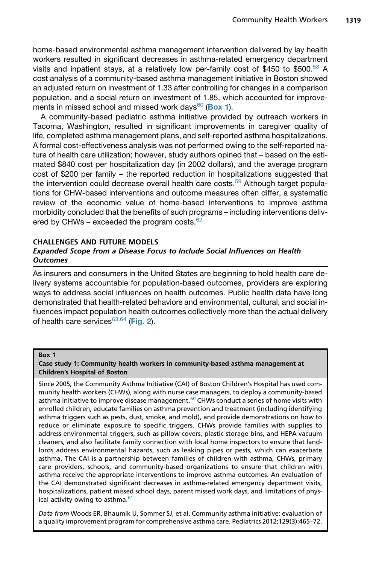home-based environmental asthma management intervention delivered by lay health workers resulted in significant decreases in asthma-related emergency department visits and inpatient stays, at a relatively low per-family cost of \$450 to \$500. $^{58}$  A cost analysis of a community-based asthma management initiative in Boston showed an adjusted return on investment of 1.33 after controlling for changes in a comparison population, and a social return on investment of 1.85, which accounted for improvements in missed school and missed work days $60$  (Box 1).

A community-based pediatric asthma initiative provided by outreach workers in Tacoma, Washington, resulted in significant improvements in caregiver quality of life, completed asthma management plans, and self-reported asthma hospitalizations. A formal cost-effectiveness analysis was not performed owing to the self-reported nature of health care utilization; however, study authors opined that – based on the estimated \$840 cost per hospitalization day (in 2002 dollars), and the average program cost of \$200 per family – the reported reduction in hospitalizations suggested that the intervention could decrease overall health care costs.<sup>[59](#page-14-0)</sup> Although target populations for CHW-based interventions and outcome measures often differ, a systematic review of the economic value of home-based interventions to improve asthma morbidity concluded that the benefits of such programs – including interventions delivered by CHWs – exceeded the program costs. $62$ 

#### CHALLENGES AND FUTURE MODELS

## Expanded Scope from a Disease Focus to Include Social Influences on Health **Outcomes**

As insurers and consumers in the United States are beginning to hold health care delivery systems accountable for population-based outcomes, providers are exploring ways to address social influences on health outcomes. Public health data have long demonstrated that health-related behaviors and environmental, cultural, and social influences impact population health outcomes collectively more than the actual delivery of health care services $63,64$  ([Fig. 2](#page-7-0)).

#### Box 1

#### Case study 1: Community health workers in community-based asthma management at Children's Hospital of Boston

Since 2005, the Community Asthma Initiative (CAI) of Boston Children's Hospital has used community health workers (CHWs), along with nurse case managers, to deploy a community-based asthma initiative to improve disease management.<sup>[60](#page-14-0)</sup> CHWs conduct a series of home visits with enrolled children, educate families on asthma prevention and treatment (including identifying asthma triggers such as pests, dust, smoke, and mold), and provide demonstrations on how to reduce or eliminate exposure to specific triggers. CHWs provide families with supplies to address environmental triggers, such as pillow covers, plastic storage bins, and HEPA vacuum cleaners, and also facilitate family connection with local home inspectors to ensure that landlords address environmental hazards, such as leaking pipes or pests, which can exacerbate asthma. The CAI is a partnership between families of children with asthma, CHWs, primary care providers, schools, and community-based organizations to ensure that children with asthma receive the appropriate interventions to improve asthma outcomes. An evaluation of the CAI demonstrated significant decreases in asthma-related emergency department visits, hospitalizations, patient missed school days, parent missed work days, and limitations of phys-ical activity owing to asthma.<sup>[61](#page-14-0)</sup>

Data from Woods ER, Bhaumik U, Sommer SJ, et al. Community asthma initiative: evaluation of a quality improvement program for comprehensive asthma care. Pediatrics 2012;129(3):465–72.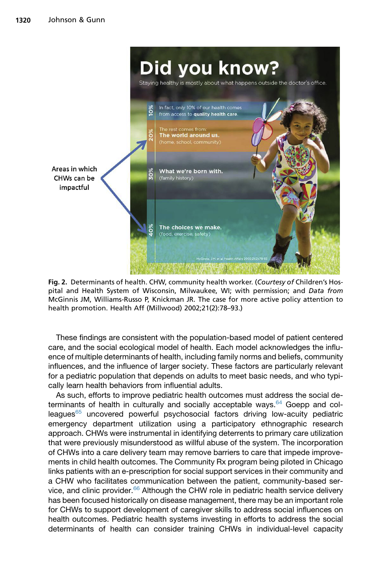<span id="page-7-0"></span>

Fig. 2. Determinants of health. CHW, community health worker. (Courtesy of Children's Hospital and Health System of Wisconsin, Milwaukee, WI; with permission; and Data from McGinnis JM, Williams-Russo P, Knickman JR. The case for more active policy attention to health promotion. Health Aff (Millwood) 2002;21(2):78–93.)

These findings are consistent with the population-based model of patient centered care, and the social ecological model of health. Each model acknowledges the influence of multiple determinants of health, including family norms and beliefs, community influences, and the influence of larger society. These factors are particularly relevant for a pediatric population that depends on adults to meet basic needs, and who typically learn health behaviors from influential adults.

As such, efforts to improve pediatric health outcomes must address the social determinants of health in culturally and socially acceptable ways. $64$  Goepp and col $le$  leagues<sup>[65](#page-14-0)</sup> uncovered powerful psychosocial factors driving low-acuity pediatric emergency department utilization using a participatory ethnographic research approach. CHWs were instrumental in identifying deterrents to primary care utilization that were previously misunderstood as willful abuse of the system. The incorporation of CHWs into a care delivery team may remove barriers to care that impede improvements in child health outcomes. The Community Rx program being piloted in Chicago links patients with an e-prescription for social support services in their community and a CHW who facilitates communication between the patient, community-based ser-vice, and clinic provider.<sup>[66](#page-14-0)</sup> Although the CHW role in pediatric health service delivery has been focused historically on disease management, there may be an important role for CHWs to support development of caregiver skills to address social influences on health outcomes. Pediatric health systems investing in efforts to address the social determinants of health can consider training CHWs in individual-level capacity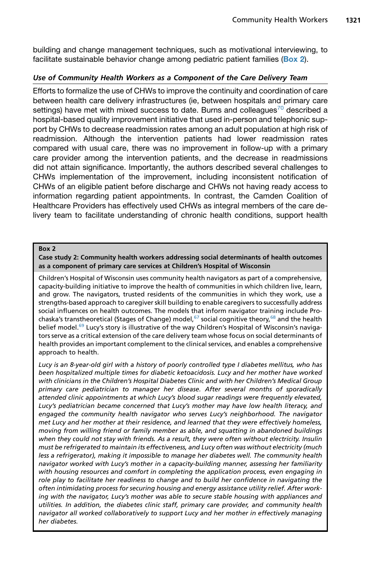building and change management techniques, such as motivational interviewing, to facilitate sustainable behavior change among pediatric patient families (Box 2).

## Use of Community Health Workers as a Component of the Care Delivery Team

Efforts to formalize the use of CHWs to improve the continuity and coordination of care between health care delivery infrastructures (ie, between hospitals and primary care settings) have met with mixed success to date. Burns and colleagues<sup>[70](#page-15-0)</sup> described a hospital-based quality improvement initiative that used in-person and telephonic support by CHWs to decrease readmission rates among an adult population at high risk of readmission. Although the intervention patients had lower readmission rates compared with usual care, there was no improvement in follow-up with a primary care provider among the intervention patients, and the decrease in readmissions did not attain significance. Importantly, the authors described several challenges to CHWs implementation of the improvement, including inconsistent notification of CHWs of an eligible patient before discharge and CHWs not having ready access to information regarding patient appointments. In contrast, the Camden Coalition of Healthcare Providers has effectively used CHWs as integral members of the care delivery team to facilitate understanding of chronic health conditions, support health

#### Box 2

Case study 2: Community health workers addressing social determinants of health outcomes as a component of primary care services at Children's Hospital of Wisconsin

Children's Hospital of Wisconsin uses community health navigators as part of a comprehensive, capacity-building initiative to improve the health of communities in which children live, learn, and grow. The navigators, trusted residents of the communities in which they work, use a strengths-based approach to caregiver skill building to enable caregivers to successfully address social influences on health outcomes. The models that inform navigator training include Pro-chaska's transtheoretical (Stages of Change) model,<sup>[67](#page-14-0)</sup> social cognitive theory,<sup>[68](#page-14-0)</sup> and the health belief model.<sup>[69](#page-14-0)</sup> Lucy's story is illustrative of the way Children's Hospital of Wisconsin's navigators serve as a critical extension of the care delivery team whose focus on social determinants of health provides an important complement to the clinical services, and enables a comprehensive approach to health.

Lucy is an 8-year-old girl with a history of poorly controlled type I diabetes mellitus, who has been hospitalized multiple times for diabetic ketoacidosis. Lucy and her mother have worked with clinicians in the Children's Hospital Diabetes Clinic and with her Children's Medical Group primary care pediatrician to manager her disease. After several months of sporadically attended clinic appointments at which Lucy's blood sugar readings were frequently elevated, Lucy's pediatrician became concerned that Lucy's mother may have low health literacy, and engaged the community health navigator who serves Lucy's neighborhood. The navigator met Lucy and her mother at their residence, and learned that they were effectively homeless, moving from willing friend or family member as able, and squatting in abandoned buildings when they could not stay with friends. As a result, they were often without electricity. Insulin must be refrigerated to maintain its effectiveness, and Lucy often was without electricity (much less a refrigerator), making it impossible to manage her diabetes well. The community health navigator worked with Lucy's mother in a capacity-building manner, assessing her familiarity with housing resources and comfort in completing the application process, even engaging in role play to facilitate her readiness to change and to build her confidence in navigating the often intimidating process for securing housing and energy assistance utility relief. After working with the navigator, Lucy's mother was able to secure stable housing with appliances and utilities. In addition, the diabetes clinic staff, primary care provider, and community health navigator all worked collaboratively to support Lucy and her mother in effectively managing her diabetes.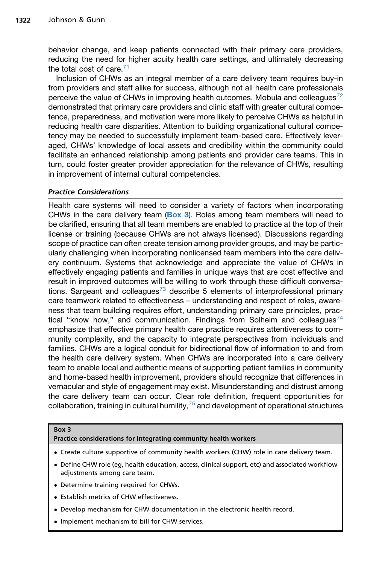behavior change, and keep patients connected with their primary care providers, reducing the need for higher acuity health care settings, and ultimately decreasing the total cost of care. $71$ 

Inclusion of CHWs as an integral member of a care delivery team requires buy-in from providers and staff alike for success, although not all health care professionals perceive the value of CHWs in improving health outcomes. Mobula and colleagues<sup>[72](#page-15-0)</sup> demonstrated that primary care providers and clinic staff with greater cultural competence, preparedness, and motivation were more likely to perceive CHWs as helpful in reducing health care disparities. Attention to building organizational cultural competency may be needed to successfully implement team-based care. Effectively leveraged, CHWs' knowledge of local assets and credibility within the community could facilitate an enhanced relationship among patients and provider care teams. This in turn, could foster greater provider appreciation for the relevance of CHWs, resulting in improvement of internal cultural competencies.

## Practice Considerations

Health care systems will need to consider a variety of factors when incorporating CHWs in the care delivery team (Box 3). Roles among team members will need to be clarified, ensuring that all team members are enabled to practice at the top of their license or training (because CHWs are not always licensed). Discussions regarding scope of practice can often create tension among provider groups, and may be particularly challenging when incorporating nonlicensed team members into the care delivery continuum. Systems that acknowledge and appreciate the value of CHWs in effectively engaging patients and families in unique ways that are cost effective and result in improved outcomes will be willing to work through these difficult conversa-tions. Sargeant and colleagues<sup>[73](#page-15-0)</sup> describe 5 elements of interprofessional primary care teamwork related to effectiveness – understanding and respect of roles, awareness that team building requires effort, understanding primary care principles, prac-tical "know how," and communication. Findings from Solheim and colleagues<sup>[74](#page-15-0)</sup> emphasize that effective primary health care practice requires attentiveness to community complexity, and the capacity to integrate perspectives from individuals and families. CHWs are a logical conduit for bidirectional flow of information to and from the health care delivery system. When CHWs are incorporated into a care delivery team to enable local and authentic means of supporting patient families in community and home-based health improvement, providers should recognize that differences in vernacular and style of engagement may exist. Misunderstanding and distrust among the care delivery team can occur. Clear role definition, frequent opportunities for collaboration, training in cultural humility, $75$  and development of operational structures

#### Box 3

Practice considerations for integrating community health workers

- Create culture supportive of community health workers (CHW) role in care delivery team.
- Define CHW role (eg, health education, access, clinical support, etc) and associated workflow adjustments among care team.
- Determine training required for CHWs.
- Establish metrics of CHW effectiveness.
- Develop mechanism for CHW documentation in the electronic health record.
- Implement mechanism to bill for CHW services.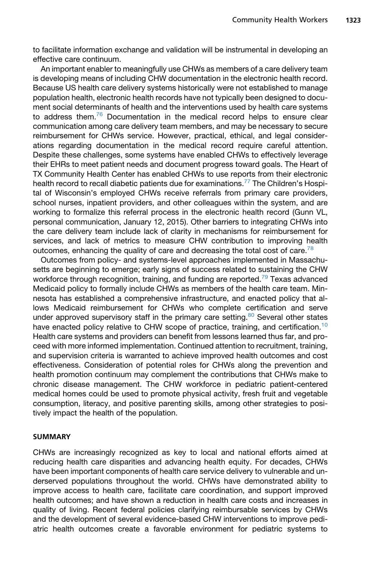to facilitate information exchange and validation will be instrumental in developing an effective care continuum.

An important enabler to meaningfully use CHWs as members of a care delivery team is developing means of including CHW documentation in the electronic health record. Because US health care delivery systems historically were not established to manage population health, electronic health records have not typically been designed to document social determinants of health and the interventions used by health care systems to address them.<sup>[76](#page-15-0)</sup> Documentation in the medical record helps to ensure clear communication among care delivery team members, and may be necessary to secure reimbursement for CHWs service. However, practical, ethical, and legal considerations regarding documentation in the medical record require careful attention. Despite these challenges, some systems have enabled CHWs to effectively leverage their EHRs to meet patient needs and document progress toward goals. The Heart of TX Community Health Center has enabled CHWs to use reports from their electronic health record to recall diabetic patients due for examinations.<sup>[77](#page-15-0)</sup> The Children's Hospital of Wisconsin's employed CHWs receive referrals from primary care providers, school nurses, inpatient providers, and other colleagues within the system, and are working to formalize this referral process in the electronic health record (Gunn VL, personal communication, January 12, 2015). Other barriers to integrating CHWs into the care delivery team include lack of clarity in mechanisms for reimbursement for services, and lack of metrics to measure CHW contribution to improving health outcomes, enhancing the quality of care and decreasing the total cost of care.<sup>[78](#page-15-0)</sup>

Outcomes from policy- and systems-level approaches implemented in Massachusetts are beginning to emerge; early signs of success related to sustaining the CHW workforce through recognition, training, and funding are reported.<sup>[79](#page-15-0)</sup> Texas advanced Medicaid policy to formally include CHWs as members of the health care team. Minnesota has established a comprehensive infrastructure, and enacted policy that allows Medicaid reimbursement for CHWs who complete certification and serve under approved supervisory staff in the primary care setting.<sup>[80](#page-15-0)</sup> Several other states have enacted policy relative to CHW scope of practice, training, and certification.<sup>[10](#page-11-0)</sup> Health care systems and providers can benefit from lessons learned thus far, and proceed with more informed implementation. Continued attention to recruitment, training, and supervision criteria is warranted to achieve improved health outcomes and cost effectiveness. Consideration of potential roles for CHWs along the prevention and health promotion continuum may complement the contributions that CHWs make to chronic disease management. The CHW workforce in pediatric patient-centered medical homes could be used to promote physical activity, fresh fruit and vegetable consumption, literacy, and positive parenting skills, among other strategies to positively impact the health of the population.

### SUMMARY

CHWs are increasingly recognized as key to local and national efforts aimed at reducing health care disparities and advancing health equity. For decades, CHWs have been important components of health care service delivery to vulnerable and underserved populations throughout the world. CHWs have demonstrated ability to improve access to health care, facilitate care coordination, and support improved health outcomes; and have shown a reduction in health care costs and increases in quality of living. Recent federal policies clarifying reimbursable services by CHWs and the development of several evidence-based CHW interventions to improve pediatric health outcomes create a favorable environment for pediatric systems to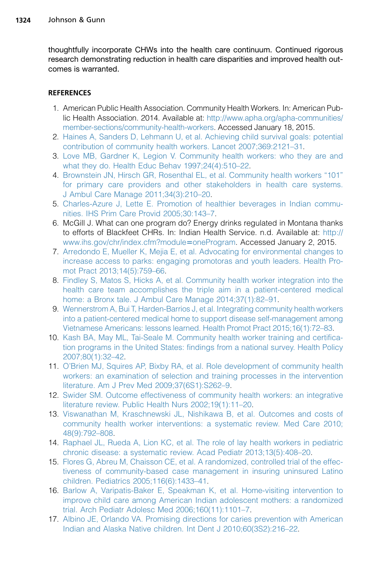<span id="page-11-0"></span>thoughtfully incorporate CHWs into the health care continuum. Continued rigorous research demonstrating reduction in health care disparities and improved health outcomes is warranted.

## **REFERENCES**

- 1. American Public Health Association. Community Health Workers. In: American Public Health Association. 2014. Available at: [http://www.apha.org/apha-communities/](http://www.apha.org/apha-communities/member-sections/community-health-workers) [member-sections/community-health-workers.](http://www.apha.org/apha-communities/member-sections/community-health-workers) Accessed January 18, 2015.
- 2. [Haines A, Sanders D, Lehmann U, et al. Achieving child survival goals: potential](http://refhub.elsevier.com/S0031-3955(15)00089-9/sref1) [contribution of community health workers. Lancet 2007;369:2121–31.](http://refhub.elsevier.com/S0031-3955(15)00089-9/sref1)
- 3. [Love MB, Gardner K, Legion V. Community health workers: who they are and](http://refhub.elsevier.com/S0031-3955(15)00089-9/sref2) [what they do. Health Educ Behav 1997;24\(4\):510–22.](http://refhub.elsevier.com/S0031-3955(15)00089-9/sref2)
- 4. [Brownstein JN, Hirsch GR, Rosenthal EL, et al. Community health workers "101"](http://refhub.elsevier.com/S0031-3955(15)00089-9/sref3) [for primary care providers and other stakeholders in health care systems.](http://refhub.elsevier.com/S0031-3955(15)00089-9/sref3) [J Ambul Care Manage 2011;34\(3\):210–20.](http://refhub.elsevier.com/S0031-3955(15)00089-9/sref3)
- 5. [Charles-Azure J, Lette E. Promotion of healthier beverages in Indian commu](http://refhub.elsevier.com/S0031-3955(15)00089-9/sref4)[nities. IHS Prim Care Provid 2005;30:143–7.](http://refhub.elsevier.com/S0031-3955(15)00089-9/sref4)
- 6. McGill J. What can one program do? Energy drinks regulated in Montana thanks to efforts of Blackfeet CHRs. In: Indian Health Service. n.d. Available at: [http://](http://www.ihs.gov/chr/index.cfm?module=oneProgram) [www.ihs.gov/chr/index.cfm?module](http://www.ihs.gov/chr/index.cfm?module=oneProgram)=oneProgram. Accessed January 2, 2015.
- 7. [Arredondo E, Mueller K, Mejia E, et al. Advocating for environmental changes to](http://refhub.elsevier.com/S0031-3955(15)00089-9/sref5) [increase access to parks: engaging promotoras and youth leaders. Health Pro](http://refhub.elsevier.com/S0031-3955(15)00089-9/sref5)[mot Pract 2013;14\(5\):759–66](http://refhub.elsevier.com/S0031-3955(15)00089-9/sref5).
- 8. [Findley S, Matos S, Hicks A, et al. Community health worker integration into the](http://refhub.elsevier.com/S0031-3955(15)00089-9/sref6) [health care team accomplishes the triple aim in a patient-centered medical](http://refhub.elsevier.com/S0031-3955(15)00089-9/sref6) [home: a Bronx tale. J Ambul Care Manage 2014;37\(1\):82–91.](http://refhub.elsevier.com/S0031-3955(15)00089-9/sref6)
- 9. [Wennerstrom A, Bui T, Harden-Barrios J, et al. Integrating community health workers](http://refhub.elsevier.com/S0031-3955(15)00089-9/sref7) [into a patient-centered medical home to support disease self-management among](http://refhub.elsevier.com/S0031-3955(15)00089-9/sref7) [Vietnamese Americans: lessons learned. Health Promot Pract 2015;16\(1\):72–83.](http://refhub.elsevier.com/S0031-3955(15)00089-9/sref7)
- 10. [Kash BA, May ML, Tai-Seale M. Community health worker training and certifica](http://refhub.elsevier.com/S0031-3955(15)00089-9/sref8)[tion programs in the United States: findings from a national survey. Health Policy](http://refhub.elsevier.com/S0031-3955(15)00089-9/sref8) [2007;80\(1\):32–42](http://refhub.elsevier.com/S0031-3955(15)00089-9/sref8).
- 11. [O'Brien MJ, Squires AP, Bixby RA, et al. Role development of community health](http://refhub.elsevier.com/S0031-3955(15)00089-9/sref9) [workers: an examination of selection and training processes in the intervention](http://refhub.elsevier.com/S0031-3955(15)00089-9/sref9) [literature. Am J Prev Med 2009;37\(6S1\):S262–9](http://refhub.elsevier.com/S0031-3955(15)00089-9/sref9).
- 12. [Swider SM. Outcome effectiveness of community health workers: an integrative](http://refhub.elsevier.com/S0031-3955(15)00089-9/sref10) [literature review. Public Health Nurs 2002;19\(1\):11–20](http://refhub.elsevier.com/S0031-3955(15)00089-9/sref10).
- 13. [Viswanathan M, Kraschnewski JL, Nishikawa B, et al. Outcomes and costs of](http://refhub.elsevier.com/S0031-3955(15)00089-9/sref11) [community health worker interventions: a systematic review. Med Care 2010;](http://refhub.elsevier.com/S0031-3955(15)00089-9/sref11) [48\(9\):792–808.](http://refhub.elsevier.com/S0031-3955(15)00089-9/sref11)
- 14. [Raphael JL, Rueda A, Lion KC, et al. The role of lay health workers in pediatric](http://refhub.elsevier.com/S0031-3955(15)00089-9/sref12) [chronic disease: a systematic review. Acad Pediatr 2013;13\(5\):408–20.](http://refhub.elsevier.com/S0031-3955(15)00089-9/sref12)
- 15. [Flores G, Abreu M, Chaisson CE, et al. A randomized, controlled trial of the effec](http://refhub.elsevier.com/S0031-3955(15)00089-9/sref13)[tiveness of community-based case management in insuring uninsured Latino](http://refhub.elsevier.com/S0031-3955(15)00089-9/sref13) [children. Pediatrics 2005;116\(6\):1433–41.](http://refhub.elsevier.com/S0031-3955(15)00089-9/sref13)
- 16. [Barlow A, Varipatis-Baker E, Speakman K, et al. Home-visiting intervention to](http://refhub.elsevier.com/S0031-3955(15)00089-9/sref14) [improve child care among American Indian adolescent mothers: a randomized](http://refhub.elsevier.com/S0031-3955(15)00089-9/sref14) [trial. Arch Pediatr Adolesc Med 2006;160\(11\):1101–7.](http://refhub.elsevier.com/S0031-3955(15)00089-9/sref14)
- 17. [Albino JE, Orlando VA. Promising directions for caries prevention with American](http://refhub.elsevier.com/S0031-3955(15)00089-9/sref15) [Indian and Alaska Native children. Int Dent J 2010;60\(3S2\):216–22.](http://refhub.elsevier.com/S0031-3955(15)00089-9/sref15)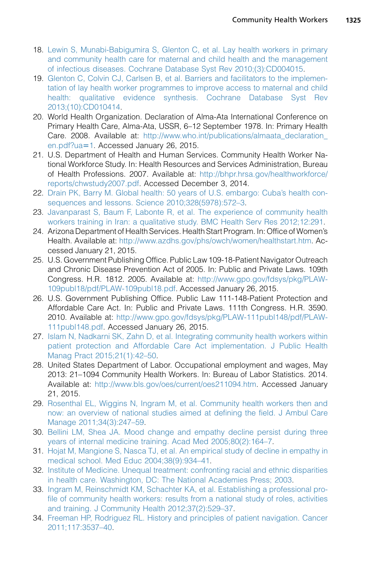- <span id="page-12-0"></span>18. [Lewin S, Munabi-Babigumira S, Glenton C, et al. Lay health workers in primary](http://refhub.elsevier.com/S0031-3955(15)00089-9/sref16) [and community health care for maternal and child health and the management](http://refhub.elsevier.com/S0031-3955(15)00089-9/sref16) [of infectious diseases. Cochrane Database Syst Rev 2010;\(3\):CD004015](http://refhub.elsevier.com/S0031-3955(15)00089-9/sref16).
- 19. [Glenton C, Colvin CJ, Carlsen B, et al. Barriers and facilitators to the implemen](http://refhub.elsevier.com/S0031-3955(15)00089-9/sref17)[tation of lay health worker programmes to improve access to maternal and child](http://refhub.elsevier.com/S0031-3955(15)00089-9/sref17) [health: qualitative evidence synthesis. Cochrane Database Syst Rev](http://refhub.elsevier.com/S0031-3955(15)00089-9/sref17) [2013;\(10\):CD010414](http://refhub.elsevier.com/S0031-3955(15)00089-9/sref17).
- 20. World Health Organization. Declaration of Alma-Ata International Conference on Primary Health Care, Alma-Ata, USSR, 6–12 September 1978. In: Primary Health Care. 2008. Available at: [http://www.who.int/publications/almaata\\_declaration\\_](http://www.who.int/publications/almaata_declaration_en.pdf?ua=1) [en.pdf?ua](http://www.who.int/publications/almaata_declaration_en.pdf?ua=1)=1. Accessed January 26, 2015.
- 21. U.S. Department of Health and Human Services. Community Health Worker National Workforce Study. In: Health Resources and Services Administration, Bureau of Health Professions. 2007. Available at: [http://bhpr.hrsa.gov/healthworkforce/](http://bhpr.hrsa.gov/healthworkforce/reports/chwstudy2007.pdf) [reports/chwstudy2007.pdf.](http://bhpr.hrsa.gov/healthworkforce/reports/chwstudy2007.pdf) Accessed December 3, 2014.
- 22. [Drain PK, Barry M. Global health: 50 years of U.S. embargo: Cuba's health con](http://refhub.elsevier.com/S0031-3955(15)00089-9/sref18)[sequences and lessons. Science 2010;328\(5978\):572–3](http://refhub.elsevier.com/S0031-3955(15)00089-9/sref18).
- 23. [Javanparast S, Baum F, Labonte R, et al. The experience of community health](http://refhub.elsevier.com/S0031-3955(15)00089-9/sref19) [workers training in Iran: a qualitative study. BMC Health Serv Res 2012;12:291.](http://refhub.elsevier.com/S0031-3955(15)00089-9/sref19)
- 24. Arizona Department of Health Services. Health Start Program. In: Office of Women's Health. Available at: [http://www.azdhs.gov/phs/owch/women/healthstart.htm.](http://www.azdhs.gov/phs/owch/women/healthstart.htm) Accessed January 21, 2015.
- 25. U.S. Government Publishing Office. Public Law 109-18-Patient Navigator Outreach and Chronic Disease Prevention Act of 2005. In: Public and Private Laws. 109th Congress. H.R. 1812. 2005. Available at: [http://www.gpo.gov/fdsys/pkg/PLAW-](http://www.gpo.gov/fdsys/pkg/PLAW-109publ18/pdf/PLAW-109publ18.pdf)[109publ18/pdf/PLAW-109publ18.pdf.](http://www.gpo.gov/fdsys/pkg/PLAW-109publ18/pdf/PLAW-109publ18.pdf) Accessed January 26, 2015.
- 26. U.S. Government Publishing Office. Public Law 111-148-Patient Protection and Affordable Care Act. In: Public and Private Laws. 111th Congress. H.R. 3590. 2010. Available at: [http://www.gpo.gov/fdsys/pkg/PLAW-111publ148/pdf/PLAW-](http://www.gpo.gov/fdsys/pkg/PLAW-111publ148/pdf/PLAW-111publ148.pdf)[111publ148.pdf](http://www.gpo.gov/fdsys/pkg/PLAW-111publ148/pdf/PLAW-111publ148.pdf). Accessed January 26, 2015.
- 27. [Islam N, Nadkarni SK, Zahn D, et al. Integrating community health workers within](http://refhub.elsevier.com/S0031-3955(15)00089-9/sref20) [patient protection and Affordable Care Act implementation. J Public Health](http://refhub.elsevier.com/S0031-3955(15)00089-9/sref20) [Manag Pract 2015;21\(1\):42–50](http://refhub.elsevier.com/S0031-3955(15)00089-9/sref20).
- 28. United States Department of Labor. Occupational employment and wages, May 2013: 21–1094 Community Health Workers. In: Bureau of Labor Statistics. 2014. Available at: <http://www.bls.gov/oes/current/oes211094.htm>. Accessed January 21, 2015.
- 29. [Rosenthal EL, Wiggins N, Ingram M, et al. Community health workers then and](http://refhub.elsevier.com/S0031-3955(15)00089-9/sref21) [now: an overview of national studies aimed at defining the field. J Ambul Care](http://refhub.elsevier.com/S0031-3955(15)00089-9/sref21) [Manage 2011;34\(3\):247–59](http://refhub.elsevier.com/S0031-3955(15)00089-9/sref21).
- 30. [Bellini LM, Shea JA. Mood change and empathy decline persist during three](http://refhub.elsevier.com/S0031-3955(15)00089-9/sref22) [years of internal medicine training. Acad Med 2005;80\(2\):164–7.](http://refhub.elsevier.com/S0031-3955(15)00089-9/sref22)
- 31. [Hojat M, Mangione S, Nasca TJ, et al. An empirical study of decline in empathy in](http://refhub.elsevier.com/S0031-3955(15)00089-9/sref23) [medical school. Med Educ 2004;38\(9\):934–41.](http://refhub.elsevier.com/S0031-3955(15)00089-9/sref23)
- 32. [Institute of Medicine. Unequal treatment: confronting racial and ethnic disparities](http://refhub.elsevier.com/S0031-3955(15)00089-9/sref24) [in health care. Washington, DC: The National Academies Press; 2003](http://refhub.elsevier.com/S0031-3955(15)00089-9/sref24).
- 33. [Ingram M, Reinschmidt KM, Schachter KA, et al. Establishing a professional pro](http://refhub.elsevier.com/S0031-3955(15)00089-9/sref25)[file of community health workers: results from a national study of roles, activities](http://refhub.elsevier.com/S0031-3955(15)00089-9/sref25) [and training. J Community Health 2012;37\(2\):529–37.](http://refhub.elsevier.com/S0031-3955(15)00089-9/sref25)
- 34. [Freeman HP, Rodriguez RL. History and principles of patient navigation. Cancer](http://refhub.elsevier.com/S0031-3955(15)00089-9/sref26) [2011;117:3537–40.](http://refhub.elsevier.com/S0031-3955(15)00089-9/sref26)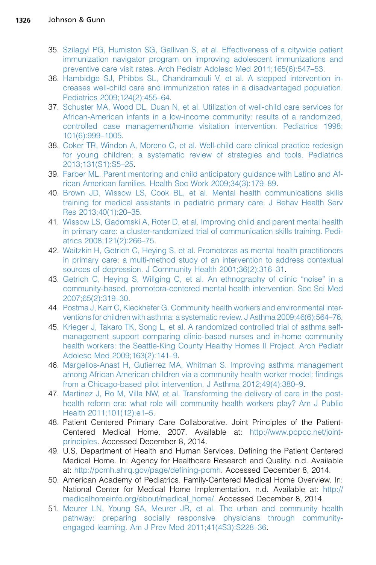- <span id="page-13-0"></span>35. [Szilagyi PG, Humiston SG, Gallivan S, et al. Effectiveness of a citywide patient](http://refhub.elsevier.com/S0031-3955(15)00089-9/sref27) [immunization navigator program on improving adolescent immunizations and](http://refhub.elsevier.com/S0031-3955(15)00089-9/sref27) [preventive care visit rates. Arch Pediatr Adolesc Med 2011;165\(6\):547–53](http://refhub.elsevier.com/S0031-3955(15)00089-9/sref27).
- 36. [Hambidge SJ, Phibbs SL, Chandramouli V, et al. A stepped intervention in](http://refhub.elsevier.com/S0031-3955(15)00089-9/sref28)[creases well-child care and immunization rates in a disadvantaged population.](http://refhub.elsevier.com/S0031-3955(15)00089-9/sref28) [Pediatrics 2009;124\(2\):455–64.](http://refhub.elsevier.com/S0031-3955(15)00089-9/sref28)
- 37. [Schuster MA, Wood DL, Duan N, et al. Utilization of well-child care services for](http://refhub.elsevier.com/S0031-3955(15)00089-9/sref29) [African-American infants in a low-income community: results of a randomized,](http://refhub.elsevier.com/S0031-3955(15)00089-9/sref29) [controlled case management/home visitation intervention. Pediatrics 1998;](http://refhub.elsevier.com/S0031-3955(15)00089-9/sref29) [101\(6\):999–1005.](http://refhub.elsevier.com/S0031-3955(15)00089-9/sref29)
- 38. [Coker TR, Windon A, Moreno C, et al. Well-child care clinical practice redesign](http://refhub.elsevier.com/S0031-3955(15)00089-9/sref30) [for young children: a systematic review of strategies and tools. Pediatrics](http://refhub.elsevier.com/S0031-3955(15)00089-9/sref30) [2013;131\(S1\):S5–25](http://refhub.elsevier.com/S0031-3955(15)00089-9/sref30).
- 39. [Farber ML. Parent mentoring and child anticipatory guidance with Latino and Af](http://refhub.elsevier.com/S0031-3955(15)00089-9/sref31)[rican American families. Health Soc Work 2009;34\(3\):179–89](http://refhub.elsevier.com/S0031-3955(15)00089-9/sref31).
- 40. [Brown JD, Wissow LS, Cook BL, et al. Mental health communications skills](http://refhub.elsevier.com/S0031-3955(15)00089-9/sref32) [training for medical assistants in pediatric primary care. J Behav Health Serv](http://refhub.elsevier.com/S0031-3955(15)00089-9/sref32) [Res 2013;40\(1\):20–35.](http://refhub.elsevier.com/S0031-3955(15)00089-9/sref32)
- 41. [Wissow LS, Gadomski A, Roter D, et al. Improving child and parent mental health](http://refhub.elsevier.com/S0031-3955(15)00089-9/sref33) [in primary care: a cluster-randomized trial of communication skills training. Pedi](http://refhub.elsevier.com/S0031-3955(15)00089-9/sref33)[atrics 2008;121\(2\):266–75](http://refhub.elsevier.com/S0031-3955(15)00089-9/sref33).
- 42. [Waitzkin H, Getrich C, Heying S, et al. Promotoras as mental health practitioners](http://refhub.elsevier.com/S0031-3955(15)00089-9/sref34) [in primary care: a multi-method study of an intervention to address contextual](http://refhub.elsevier.com/S0031-3955(15)00089-9/sref34) [sources of depression. J Community Health 2001;36\(2\):316–31.](http://refhub.elsevier.com/S0031-3955(15)00089-9/sref34)
- 43. [Getrich C, Heying S, Willging C, et al. An ethnography of clinic "noise" in a](http://refhub.elsevier.com/S0031-3955(15)00089-9/sref35) [community-based, promotora-centered mental health intervention. Soc Sci Med](http://refhub.elsevier.com/S0031-3955(15)00089-9/sref35) [2007;65\(2\):319–30](http://refhub.elsevier.com/S0031-3955(15)00089-9/sref35).
- 44. [Postma J, Karr C, Kieckhefer G. Community health workers and environmental inter](http://refhub.elsevier.com/S0031-3955(15)00089-9/sref36)[ventions for children with asthma: a systematic review. J Asthma 2009;46\(6\):564–76.](http://refhub.elsevier.com/S0031-3955(15)00089-9/sref36)
- 45. [Krieger J, Takaro TK, Song L, et al. A randomized controlled trial of asthma self](http://refhub.elsevier.com/S0031-3955(15)00089-9/sref37)[management support comparing clinic-based nurses and in-home community](http://refhub.elsevier.com/S0031-3955(15)00089-9/sref37) [health workers: the Seattle-King County Healthy Homes II Project. Arch Pediatr](http://refhub.elsevier.com/S0031-3955(15)00089-9/sref37) [Adolesc Med 2009;163\(2\):141–9.](http://refhub.elsevier.com/S0031-3955(15)00089-9/sref37)
- 46. [Margellos-Anast H, Gutierrez MA, Whitman S. Improving asthma management](http://refhub.elsevier.com/S0031-3955(15)00089-9/sref38) [among African American children via a community health worker model: findings](http://refhub.elsevier.com/S0031-3955(15)00089-9/sref38) [from a Chicago-based pilot intervention. J Asthma 2012;49\(4\):380–9](http://refhub.elsevier.com/S0031-3955(15)00089-9/sref38).
- 47. [Martinez J, Ro M, Villa NW, et al. Transforming the delivery of care in the post](http://refhub.elsevier.com/S0031-3955(15)00089-9/sref39)[health reform era: what role will community health workers play? Am J Public](http://refhub.elsevier.com/S0031-3955(15)00089-9/sref39) [Health 2011;101\(12\):e1–5.](http://refhub.elsevier.com/S0031-3955(15)00089-9/sref39)
- 48. Patient Centered Primary Care Collaborative. Joint Principles of the Patient-Centered Medical Home. 2007. Available at: [http://www.pcpcc.net/joint](http://www.pcpcc.net/joint-principles)[principles.](http://www.pcpcc.net/joint-principles) Accessed December 8, 2014.
- 49. U.S. Department of Health and Human Services. Defining the Patient Centered Medical Home. In: Agency for Healthcare Research and Quality. n.d. Available at: [http://pcmh.ahrq.gov/page/defining-pcmh.](http://pcmh.ahrq.gov/page/defining-pcmh) Accessed December 8, 2014.
- 50. American Academy of Pediatrics. Family-Centered Medical Home Overview. In: National Center for Medical Home Implementation. n.d. Available at: [http://](http://medicalhomeinfo.org/about/medical_home/) [medicalhomeinfo.org/about/medical\\_home/.](http://medicalhomeinfo.org/about/medical_home/) Accessed December 8, 2014.
- 51. [Meurer LN, Young SA, Meurer JR, et al. The urban and community health](http://refhub.elsevier.com/S0031-3955(15)00089-9/sref40) [pathway: preparing socially responsive physicians through community](http://refhub.elsevier.com/S0031-3955(15)00089-9/sref40)[engaged learning. Am J Prev Med 2011;41\(4S3\):S228–36.](http://refhub.elsevier.com/S0031-3955(15)00089-9/sref40)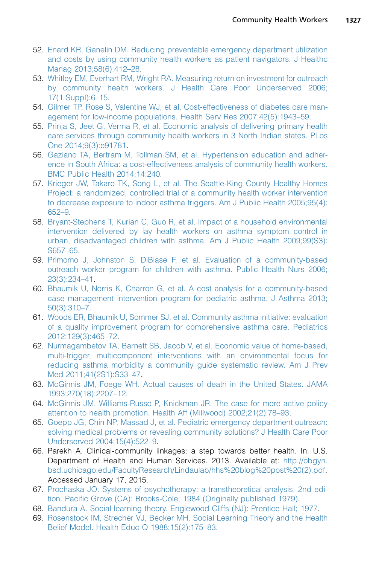- <span id="page-14-0"></span>52. [Enard KR, Ganelin DM. Reducing preventable emergency department utilization](http://refhub.elsevier.com/S0031-3955(15)00089-9/sref41) [and costs by using community health workers as patient navigators. J Healthc](http://refhub.elsevier.com/S0031-3955(15)00089-9/sref41) [Manag 2013;58\(6\):412–28](http://refhub.elsevier.com/S0031-3955(15)00089-9/sref41).
- 53. [Whitley EM, Everhart RM, Wright RA. Measuring return on investment for outreach](http://refhub.elsevier.com/S0031-3955(15)00089-9/sref42) [by community health workers. J Health Care Poor Underserved 2006;](http://refhub.elsevier.com/S0031-3955(15)00089-9/sref42) [17\(1 Suppl\):6–15.](http://refhub.elsevier.com/S0031-3955(15)00089-9/sref42)
- 54. [Gilmer TP, Rose S, Valentine WJ, et al. Cost-effectiveness of diabetes care man](http://refhub.elsevier.com/S0031-3955(15)00089-9/sref43)[agement for low-income populations. Health Serv Res 2007;42\(5\):1943–59](http://refhub.elsevier.com/S0031-3955(15)00089-9/sref43).
- 55. [Prinja S, Jeet G, Verma R, et al. Economic analysis of delivering primary health](http://refhub.elsevier.com/S0031-3955(15)00089-9/sref44) [care services through community health workers in 3 North Indian states. PLos](http://refhub.elsevier.com/S0031-3955(15)00089-9/sref44) [One 2014;9\(3\):e91781](http://refhub.elsevier.com/S0031-3955(15)00089-9/sref44).
- 56. [Gaziano TA, Bertram M, Tollman SM, et al. Hypertension education and adher](http://refhub.elsevier.com/S0031-3955(15)00089-9/sref45)[ence in South Africa: a cost-effectiveness analysis of community health workers.](http://refhub.elsevier.com/S0031-3955(15)00089-9/sref45) [BMC Public Health 2014;14:240.](http://refhub.elsevier.com/S0031-3955(15)00089-9/sref45)
- 57. [Krieger JW, Takaro TK, Song L, et al. The Seattle-King County Healthy Homes](http://refhub.elsevier.com/S0031-3955(15)00089-9/sref46) [Project: a randomized, controlled trial of a community health worker intervention](http://refhub.elsevier.com/S0031-3955(15)00089-9/sref46) [to decrease exposure to indoor asthma triggers. Am J Public Health 2005;95\(4\):](http://refhub.elsevier.com/S0031-3955(15)00089-9/sref46) [652–9](http://refhub.elsevier.com/S0031-3955(15)00089-9/sref46).
- 58. [Bryant-Stephens T, Kurian C, Guo R, et al. Impact of a household environmental](http://refhub.elsevier.com/S0031-3955(15)00089-9/sref47) [intervention delivered by lay health workers on asthma symptom control in](http://refhub.elsevier.com/S0031-3955(15)00089-9/sref47) [urban, disadvantaged children with asthma. Am J Public Health 2009;99\(S3\):](http://refhub.elsevier.com/S0031-3955(15)00089-9/sref47) [S657–65.](http://refhub.elsevier.com/S0031-3955(15)00089-9/sref47)
- 59. [Primomo J, Johnston S, DiBiase F, et al. Evaluation of a community-based](http://refhub.elsevier.com/S0031-3955(15)00089-9/sref48) [outreach worker program for children with asthma. Public Health Nurs 2006;](http://refhub.elsevier.com/S0031-3955(15)00089-9/sref48) [23\(3\):234–41](http://refhub.elsevier.com/S0031-3955(15)00089-9/sref48).
- 60. [Bhaumik U, Norris K, Charron G, et al. A cost analysis for a community-based](http://refhub.elsevier.com/S0031-3955(15)00089-9/sref49) [case management intervention program for pediatric asthma. J Asthma 2013;](http://refhub.elsevier.com/S0031-3955(15)00089-9/sref49) [50\(3\):310–7](http://refhub.elsevier.com/S0031-3955(15)00089-9/sref49).
- 61. [Woods ER, Bhaumik U, Sommer SJ, et al. Community asthma initiative: evaluation](http://refhub.elsevier.com/S0031-3955(15)00089-9/sref50) [of a quality improvement program for comprehensive asthma care. Pediatrics](http://refhub.elsevier.com/S0031-3955(15)00089-9/sref50) [2012;129\(3\):465–72.](http://refhub.elsevier.com/S0031-3955(15)00089-9/sref50)
- 62. [Nurmagambetov TA, Barnett SB, Jacob V, et al. Economic value of home-based,](http://refhub.elsevier.com/S0031-3955(15)00089-9/sref51) [multi-trigger, multicomponent interventions with an environmental focus for](http://refhub.elsevier.com/S0031-3955(15)00089-9/sref51) [reducing asthma morbidity a community guide systematic review. Am J Prev](http://refhub.elsevier.com/S0031-3955(15)00089-9/sref51) [Med 2011;41\(2S1\):S33–47.](http://refhub.elsevier.com/S0031-3955(15)00089-9/sref51)
- 63. [McGinnis JM, Foege WH. Actual causes of death in the United States. JAMA](http://refhub.elsevier.com/S0031-3955(15)00089-9/sref52) [1993;270\(18\):2207–12.](http://refhub.elsevier.com/S0031-3955(15)00089-9/sref52)
- 64. [McGinnis JM, Williams-Russo P, Knickman JR. The case for more active policy](http://refhub.elsevier.com/S0031-3955(15)00089-9/sref53) [attention to health promotion. Health Aff \(Millwood\) 2002;21\(2\):78–93](http://refhub.elsevier.com/S0031-3955(15)00089-9/sref53).
- 65. [Goepp JG, Chin NP, Massad J, et al. Pediatric emergency department outreach:](http://refhub.elsevier.com/S0031-3955(15)00089-9/sref54) [solving medical problems or revealing community solutions? J Health Care Poor](http://refhub.elsevier.com/S0031-3955(15)00089-9/sref54) [Underserved 2004;15\(4\):522–9.](http://refhub.elsevier.com/S0031-3955(15)00089-9/sref54)
- 66. Parekh A. Clinical-community linkages: a step towards better health. In: U.S. Department of Health and Human Services. 2013. Available at: [http://obgyn.](http://obgyn.bsd.uchicago.edu/FacultyResearch/Lindaulab/hhs%20blog%20post%20(2).pdf) [bsd.uchicago.edu/FacultyResearch/Lindaulab/hhs%20blog%20post%20\(2\).pdf.](http://obgyn.bsd.uchicago.edu/FacultyResearch/Lindaulab/hhs%20blog%20post%20(2).pdf) Accessed January 17, 2015.
- 67. [Prochaska JO. Systems of psychotherapy: a transtheoretical analysis. 2nd edi](http://refhub.elsevier.com/S0031-3955(15)00089-9/sref55)[tion. Pacific Grove \(CA\): Brooks-Cole; 1984 \(Originally published 1979\)](http://refhub.elsevier.com/S0031-3955(15)00089-9/sref55).
- 68. [Bandura A. Social learning theory. Englewood Cliffs \(NJ\): Prentice Hall; 1977.](http://refhub.elsevier.com/S0031-3955(15)00089-9/sref56)
- 69. [Rosenstock IM, Strecher VJ, Becker MH. Social Learning Theory and the Health](http://refhub.elsevier.com/S0031-3955(15)00089-9/sref57) [Belief Model. Health Educ Q 1988;15\(2\):175–83.](http://refhub.elsevier.com/S0031-3955(15)00089-9/sref57)